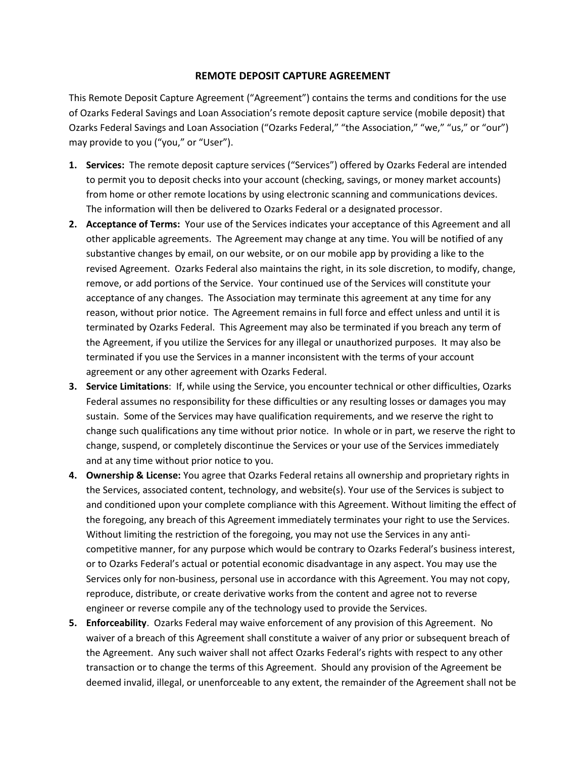## **REMOTE DEPOSIT CAPTURE AGREEMENT**

This Remote Deposit Capture Agreement ("Agreement") contains the terms and conditions for the use of Ozarks Federal Savings and Loan Association's remote deposit capture service (mobile deposit) that Ozarks Federal Savings and Loan Association ("Ozarks Federal," "the Association," "we," "us," or "our") may provide to you ("you," or "User").

- **1. Services:** The remote deposit capture services ("Services") offered by Ozarks Federal are intended to permit you to deposit checks into your account (checking, savings, or money market accounts) from home or other remote locations by using electronic scanning and communications devices. The information will then be delivered to Ozarks Federal or a designated processor.
- **2. Acceptance of Terms:** Your use of the Services indicates your acceptance of this Agreement and all other applicable agreements. The Agreement may change at any time. You will be notified of any substantive changes by email, on our website, or on our mobile app by providing a like to the revised Agreement. Ozarks Federal also maintains the right, in its sole discretion, to modify, change, remove, or add portions of the Service. Your continued use of the Services will constitute your acceptance of any changes. The Association may terminate this agreement at any time for any reason, without prior notice. The Agreement remains in full force and effect unless and until it is terminated by Ozarks Federal. This Agreement may also be terminated if you breach any term of the Agreement, if you utilize the Services for any illegal or unauthorized purposes. It may also be terminated if you use the Services in a manner inconsistent with the terms of your account agreement or any other agreement with Ozarks Federal.
- **3. Service Limitations**: If, while using the Service, you encounter technical or other difficulties, Ozarks Federal assumes no responsibility for these difficulties or any resulting losses or damages you may sustain. Some of the Services may have qualification requirements, and we reserve the right to change such qualifications any time without prior notice. In whole or in part, we reserve the right to change, suspend, or completely discontinue the Services or your use of the Services immediately and at any time without prior notice to you.
- **4. Ownership & License:** You agree that Ozarks Federal retains all ownership and proprietary rights in the Services, associated content, technology, and website(s). Your use of the Services is subject to and conditioned upon your complete compliance with this Agreement. Without limiting the effect of the foregoing, any breach of this Agreement immediately terminates your right to use the Services. Without limiting the restriction of the foregoing, you may not use the Services in any anticompetitive manner, for any purpose which would be contrary to Ozarks Federal's business interest, or to Ozarks Federal's actual or potential economic disadvantage in any aspect. You may use the Services only for non-business, personal use in accordance with this Agreement. You may not copy, reproduce, distribute, or create derivative works from the content and agree not to reverse engineer or reverse compile any of the technology used to provide the Services.
- **5. Enforceability**. Ozarks Federal may waive enforcement of any provision of this Agreement. No waiver of a breach of this Agreement shall constitute a waiver of any prior or subsequent breach of the Agreement. Any such waiver shall not affect Ozarks Federal's rights with respect to any other transaction or to change the terms of this Agreement. Should any provision of the Agreement be deemed invalid, illegal, or unenforceable to any extent, the remainder of the Agreement shall not be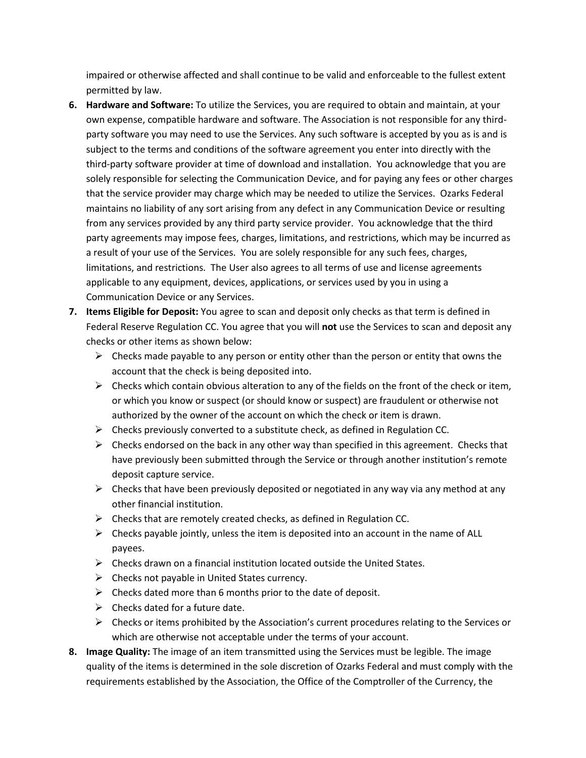impaired or otherwise affected and shall continue to be valid and enforceable to the fullest extent permitted by law.

- **6. Hardware and Software:** To utilize the Services, you are required to obtain and maintain, at your own expense, compatible hardware and software. The Association is not responsible for any thirdparty software you may need to use the Services. Any such software is accepted by you as is and is subject to the terms and conditions of the software agreement you enter into directly with the third-party software provider at time of download and installation. You acknowledge that you are solely responsible for selecting the Communication Device, and for paying any fees or other charges that the service provider may charge which may be needed to utilize the Services. Ozarks Federal maintains no liability of any sort arising from any defect in any Communication Device or resulting from any services provided by any third party service provider. You acknowledge that the third party agreements may impose fees, charges, limitations, and restrictions, which may be incurred as a result of your use of the Services. You are solely responsible for any such fees, charges, limitations, and restrictions. The User also agrees to all terms of use and license agreements applicable to any equipment, devices, applications, or services used by you in using a Communication Device or any Services.
- **7. Items Eligible for Deposit:** You agree to scan and deposit only checks as that term is defined in Federal Reserve Regulation CC. You agree that you will **not** use the Services to scan and deposit any checks or other items as shown below:
	- $\triangleright$  Checks made payable to any person or entity other than the person or entity that owns the account that the check is being deposited into.
	- $\triangleright$  Checks which contain obvious alteration to any of the fields on the front of the check or item, or which you know or suspect (or should know or suspect) are fraudulent or otherwise not authorized by the owner of the account on which the check or item is drawn.
	- $\triangleright$  Checks previously converted to a substitute check, as defined in Regulation CC.
	- $\triangleright$  Checks endorsed on the back in any other way than specified in this agreement. Checks that have previously been submitted through the Service or through another institution's remote deposit capture service.
	- $\triangleright$  Checks that have been previously deposited or negotiated in any way via any method at any other financial institution.
	- $\triangleright$  Checks that are remotely created checks, as defined in Regulation CC.
	- $\triangleright$  Checks payable jointly, unless the item is deposited into an account in the name of ALL payees.
	- $\triangleright$  Checks drawn on a financial institution located outside the United States.
	- $\triangleright$  Checks not payable in United States currency.
	- $\triangleright$  Checks dated more than 6 months prior to the date of deposit.
	- $\triangleright$  Checks dated for a future date.
	- $\triangleright$  Checks or items prohibited by the Association's current procedures relating to the Services or which are otherwise not acceptable under the terms of your account.
- **8. Image Quality:** The image of an item transmitted using the Services must be legible. The image quality of the items is determined in the sole discretion of Ozarks Federal and must comply with the requirements established by the Association, the Office of the Comptroller of the Currency, the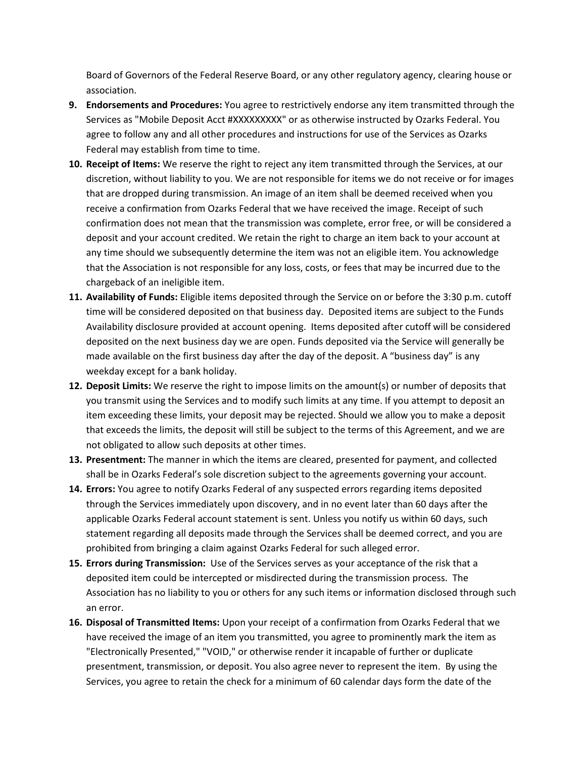Board of Governors of the Federal Reserve Board, or any other regulatory agency, clearing house or association.

- **9. Endorsements and Procedures:** You agree to restrictively endorse any item transmitted through the Services as "Mobile Deposit Acct #XXXXXXXXX" or as otherwise instructed by Ozarks Federal. You agree to follow any and all other procedures and instructions for use of the Services as Ozarks Federal may establish from time to time.
- **10. Receipt of Items:** We reserve the right to reject any item transmitted through the Services, at our discretion, without liability to you. We are not responsible for items we do not receive or for images that are dropped during transmission. An image of an item shall be deemed received when you receive a confirmation from Ozarks Federal that we have received the image. Receipt of such confirmation does not mean that the transmission was complete, error free, or will be considered a deposit and your account credited. We retain the right to charge an item back to your account at any time should we subsequently determine the item was not an eligible item. You acknowledge that the Association is not responsible for any loss, costs, or fees that may be incurred due to the chargeback of an ineligible item.
- **11. Availability of Funds:** Eligible items deposited through the Service on or before the 3:30 p.m. cutoff time will be considered deposited on that business day. Deposited items are subject to the Funds Availability disclosure provided at account opening. Items deposited after cutoff will be considered deposited on the next business day we are open. Funds deposited via the Service will generally be made available on the first business day after the day of the deposit. A "business day" is any weekday except for a bank holiday.
- **12. Deposit Limits:** We reserve the right to impose limits on the amount(s) or number of deposits that you transmit using the Services and to modify such limits at any time. If you attempt to deposit an item exceeding these limits, your deposit may be rejected. Should we allow you to make a deposit that exceeds the limits, the deposit will still be subject to the terms of this Agreement, and we are not obligated to allow such deposits at other times.
- **13. Presentment:** The manner in which the items are cleared, presented for payment, and collected shall be in Ozarks Federal's sole discretion subject to the agreements governing your account.
- **14. Errors:** You agree to notify Ozarks Federal of any suspected errors regarding items deposited through the Services immediately upon discovery, and in no event later than 60 days after the applicable Ozarks Federal account statement is sent. Unless you notify us within 60 days, such statement regarding all deposits made through the Services shall be deemed correct, and you are prohibited from bringing a claim against Ozarks Federal for such alleged error.
- **15. Errors during Transmission:** Use of the Services serves as your acceptance of the risk that a deposited item could be intercepted or misdirected during the transmission process. The Association has no liability to you or others for any such items or information disclosed through such an error.
- **16. Disposal of Transmitted Items:** Upon your receipt of a confirmation from Ozarks Federal that we have received the image of an item you transmitted, you agree to prominently mark the item as "Electronically Presented," "VOID," or otherwise render it incapable of further or duplicate presentment, transmission, or deposit. You also agree never to represent the item. By using the Services, you agree to retain the check for a minimum of 60 calendar days form the date of the